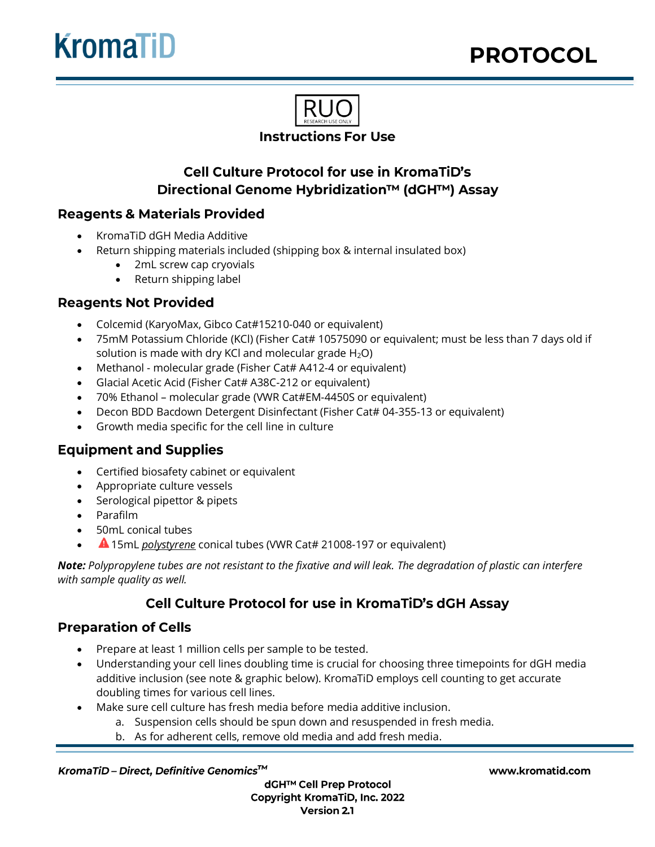

# **Cell Culture Protocol for use in KromaTiD's** Directional Genome Hybridization™ (dGH™) Assay

## **Reagents & Materials Provided**

- KromaTiD dGH Media Additive
- Return shipping materials included (shipping box & internal insulated box)
	- 2mL screw cap cryovials
	- Return shipping label

### **Reagents Not Provided**

- Colcemid (KaryoMax, Gibco Cat#15210-040 or equivalent)
- 75mM Potassium Chloride (KCl) (Fisher Cat# 10575090 or equivalent; must be less than 7 days old if solution is made with dry KCl and molecular grade  $H_2O$ )
- Methanol molecular grade (Fisher Cat# A412-4 or equivalent)
- Glacial Acetic Acid (Fisher Cat# A38C-212 or equivalent)
- 70% Ethanol molecular grade (VWR Cat#EM-4450S or equivalent)
- Decon BDD Bacdown Detergent Disinfectant (Fisher Cat# 04-355-13 or equivalent)
- Growth media specific for the cell line in culture

## **Equipment and Supplies**

- Certified biosafety cabinet or equivalent
- Appropriate culture vessels
- Serological pipettor & pipets
- Parafilm
- 50mL conical tubes
- 15mL *polystyrene* conical tubes (VWR Cat# 21008-197 or equivalent)

*Note: Polypropylene tubes are not resistant to the fixative and will leak. The degradation of plastic can interfere with sample quality as well.*

## Cell Culture Protocol for use in KromaTiD's dGH Assay

### **Preparation of Cells**

- Prepare at least 1 million cells per sample to be tested.
- Understanding your cell lines doubling time is crucial for choosing three timepoints for dGH media additive inclusion (see note & graphic below). KromaTiD employs cell counting to get accurate doubling times for various cell lines.
- Make sure cell culture has fresh media before media additive inclusion.
	- a. Suspension cells should be spun down and resuspended in fresh media.
	- b. As for adherent cells, remove old media and add fresh media.

#### KromaTiD-Direct, Definitive Genomics™

dGH™ Cell Prep Protocol **Copyright KromaTiD, Inc. 2022 Version 2.1**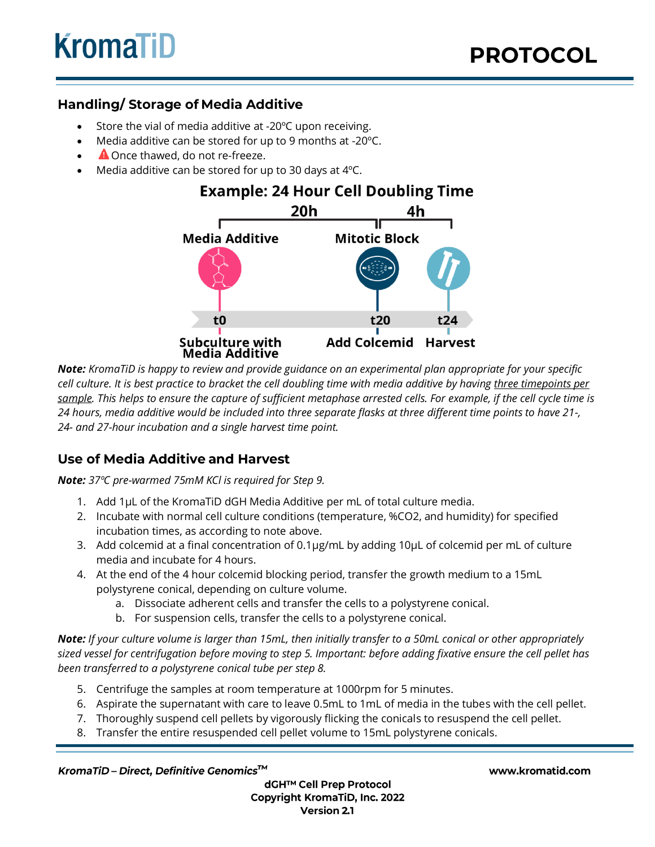## **Handling/ Storage of Media Additive**

- Store the vial of media additive at -20°C upon receiving.
- Media additive can be stored for up to 9 months at -20ºC.
- **A** Once thawed, do not re-freeze.
- Media additive can be stored for up to 30 days at  $4^{\circ}$ C.

## **Example: 24 Hour Cell Doubling Time**



*Note: KromaTiD is happy to review and provide guidance on an experimental plan appropriate for your specific cell culture. It is best practice to bracket the cell doubling time with media additive by having three timepoints per sample. This helps to ensure the capture of sufficient metaphase arrested cells. For example, if the cell cycle time is 24 hours, media additive would be included into three separate flasks at three different time points to have 21-, 24- and 27-hour incubation and a single harvest time point.*

## **Use of Media Additive and Harvest**

*Note: 37ºC pre-warmed 75mM KCl is required for Step 9.*

- 1. Add 1µL of the KromaTiD dGH Media Additive per mL of total culture media.
- 2. Incubate with normal cell culture conditions (temperature, %CO2, and humidity) for specified incubation times, as according to note above.
- 3. Add colcemid at a final concentration of 0.1µg/mL by adding 10µL of colcemid per mL of culture media and incubate for 4 hours.
- 4. At the end of the 4 hour colcemid blocking period, transfer the growth medium to a 15mL polystyrene conical, depending on culture volume.
	- a. Dissociate adherent cells and transfer the cells to a polystyrene conical.
	- b. For suspension cells, transfer the cells to a polystyrene conical.

*Note: If your culture volume is larger than 15mL, then initially transfer to a 50mL conical or other appropriately sized vessel for centrifugation before moving to step 5. Important: before adding fixative ensure the cell pellet has been transferred to a polystyrene conical tube per step 8.*

- 5. Centrifuge the samples at room temperature at 1000rpm for 5 minutes.
- 6. Aspirate the supernatant with care to leave 0.5mL to 1mL of media in the tubes with the cell pellet.
- 7. Thoroughly suspend cell pellets by vigorously flicking the conicals to resuspend the cell pellet.
- 8. Transfer the entire resuspended cell pellet volume to 15mL polystyrene conicals.

KromaTiD-Direct, Definitive Genomics™